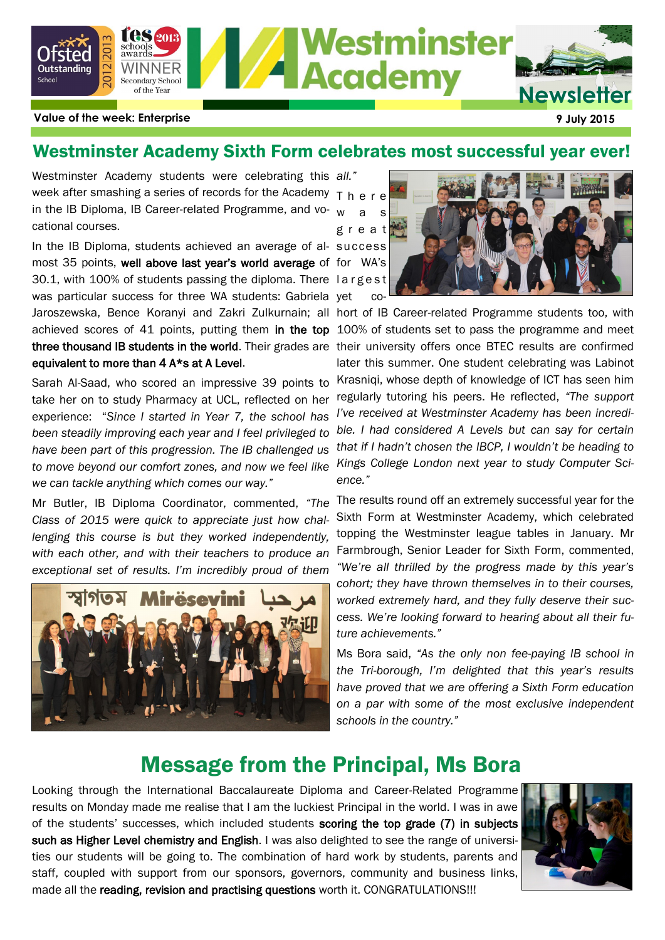

## Westminster Academy Sixth Form celebrates most successful year ever!

Westminster Academy students were celebrating this *all."* week after smashing a series of records for the Academy T h e r e in the IB Diploma, IB Career-related Programme, and vo- <sub>w as</sub> cational courses.

In the IB Diploma, students achieved an average of al-success most 35 points, well above last year's world average of for WA's 30.1, with 100% of students passing the diploma. There l a r g e s t was particular success for three WA students: Gabriela yet co-Jaroszewska, Bence Koranyi and Zakri Zulkurnain; all hort of IB Career-related Programme students too, with achieved scores of 41 points, putting them in the top 100% of students set to pass the programme and meet three thousand IB students in the world. Their grades are their university offers once BTEC results are confirmed equivalent to more than 4 A\*s at A Level.

Sarah Al-Saad, who scored an impressive 39 points to take her on to study Pharmacy at UCL, reflected on her experience: "*Since I started in Year 7, the school has been steadily improving each year and I feel privileged to have been part of this progression. The IB challenged us to move beyond our comfort zones, and now we feel like we can tackle anything which comes our way."*

Mr Butler, IB Diploma Coordinator, commented, *"The Class of 2015 were quick to appreciate just how challenging this course is but they worked independently, with each other, and with their teachers to produce an exceptional set of results. I'm incredibly proud of them* 





later this summer. One student celebrating was Labinot Krasniqi, whose depth of knowledge of ICT has seen him regularly tutoring his peers. He reflected, *"The support I've received at Westminster Academy has been incredible. I had considered A Levels but can say for certain that if I hadn't chosen the IBCP, I wouldn't be heading to Kings College London next year to study Computer Science."*

The results round off an extremely successful year for the Sixth Form at Westminster Academy, which celebrated topping the Westminster league tables in January. Mr Farmbrough, Senior Leader for Sixth Form, commented, *"We're all thrilled by the progress made by this year's cohort; they have thrown themselves in to their courses, worked extremely hard, and they fully deserve their success. We're looking forward to hearing about all their future achievements."*

Ms Bora said, *"As the only non fee-paying IB school in the Tri-borough, I'm delighted that this year's results have proved that we are offering a Sixth Form education on a par with some of the most exclusive independent schools in the country."*

# Message from the Principal, Ms Bora

Looking through the International Baccalaureate Diploma and Career-Related Programme results on Monday made me realise that I am the luckiest Principal in the world. I was in awe of the students' successes, which included students scoring the top grade (7) in subjects such as Higher Level chemistry and English. I was also delighted to see the range of universities our students will be going to. The combination of hard work by students, parents and staff, coupled with support from our sponsors, governors, community and business links, made all the reading, revision and practising questions worth it. CONGRATULATIONS!!!